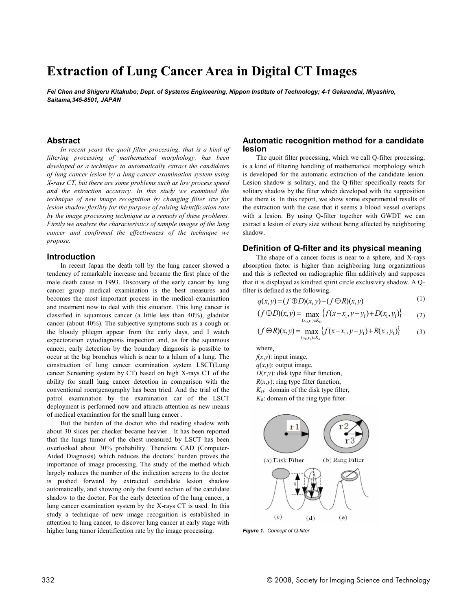# **Extraction of Lung Cancer Area in Digital CT Images**

*Fei Chen and Shigeru Kitakubo; Dept. of Systems Engineering, Nippon Institute of Technology; 4-1 Gakuendai, Miyashiro, Saitama,345-8501, JAPAN*

## **Abstract**

*In recent years the quoit filter processing, that is a kind of filtering processing of mathematical morphology, has been developed as a technique to automatically extract the candidates of lung cancer lesion by a lung cancer examination system using X-rays CT, but there are some problems such as low process speed and the extraction accuracy. In this study we examined the technique of new image recognition by changing filter size for lesion shadow flexibly for the purpose of raising identification rate by the image processing technique as a remedy of these problems. Firstly we analyze the characteristics of sample images of the lung cancer and confirmed the effectiveness of the technique we propose.*

#### **Introduction**

In recent Japan the death toll by the lung cancer showed a tendency of remarkable increase and became the first place of the male death cause in 1993. Discovery of the early cancer by lung cancer group medical examination is the best measures and becomes the most important process in the medical examination and treatment now to deal with this situation. This lung cancer is classified in squamous cancer (a little less than 40%), gladular cancer (about 40%). The subjective symptoms such as a cough or the bloody phlegm appear from the early days, and I watch expectoration cytodiagnosis inspection and, as for the squamous cancer, early detection by the boundary diagnosis is possible to occur at the big bronchus which is near to a hilum of a lung. The construction of lung cancer examination system LSCT(Lung cancer Screening system by CT) based on high X-rays CT of the ability for small lung cancer detection in comparison with the conventional roentgenography has been tried. And the trial of the patrol examination by the examination car of the LSCT deployment is performed now and attracts attention as new means of medical examination for the small lung cancer .

But the burden of the doctor who did reading shadow with about 30 slices per checker became heavier. It has been reported that the lungs tumor of the chest measured by LSCT has been overlooked about 30% probability. Therefore CAD (Computer-Aided Diagnosis) which reduces the doctors' burden proves the importance of image processing. The study of the method which largely reduces the number of the indication screens to the doctor is pushed forward by extracted candidate lesion shadow automatically, and showing only the found section of the candidate shadow to the doctor. For the early detection of the lung cancer, a lung cancer examination system by the X-rays CT is used. In this study a technique of new image recognition is established in attention to lung cancer, to discover lung cancer at early stage with higher lung tumor identification rate by the image processing.

## **Automatic recognition method for a candidate lesion**

The quoit filter processing, which we call Q-filter processing, is a kind of filtering handling of mathematical morphology which is developed for the automatic extraction of the candidate lesion. Lesion shadow is solitary, and the Q-filter specifically reacts for solitary shadow by the filter which developed with the supposition that there is. In this report, we show some experimental results of the extraction with the case that it seems a blood vessel overlaps with a lesion. By using Q-filter together with GWDT we can extract a lesion of every size without being affected by neighboring shadow.

## **Definition of Q-filter and its physical meaning**

The shape of a cancer focus is near to a sphere, and X-rays absorption factor is higher than neighboring lung organizations and this is reflected on radiographic film additively and supposes that it is displayed as kindred spirit circle exclusivity shadow. A Qfilter is defined as the following.

$$
q(x, y) = (f \oplus D)(x, y) - (f \oplus R)(x, y) \tag{1}
$$

$$
(f \oplus D)(x, y) = \max_{(x_1, y_1) \in K_D} \{ f(x - x_1, y - y_1) + D(x_1, y_1) \}
$$
 (2)

$$
(f \oplus R)(x, y) = \max_{(x_1, y_1) \in K_R} \{ f(x - x_1, y - y_1) + R(x_1, y_1) \}
$$
(3)

where,

 $f(x,y)$ : input image,  $q(x,y)$ : output image, *D*(*x*,*y*): disk type filter function,  $R(x, y)$ : ring type filter function,  $K_D$ : domain of the disk type filter,  $K_R$ : domain of the ring type filter.



*Figure 1. Concept of Q-filter*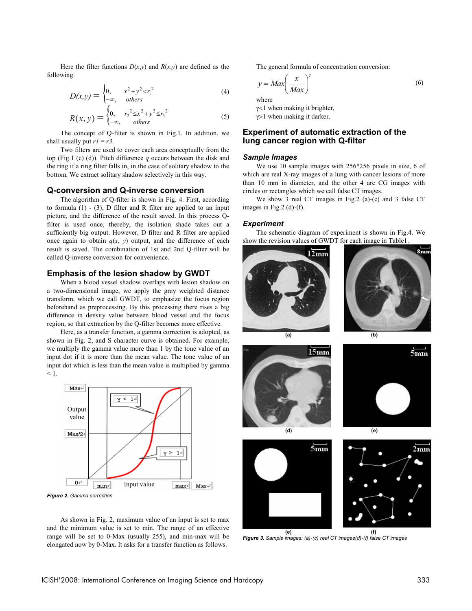Here the filter functions  $D(x,y)$  and  $R(x,y)$  are defined as the following.

$$
D(x,y) = \begin{cases} 0, & x^2 + y^2 < r_1^2 \\ -\infty, & others \end{cases}
$$
 (4)

$$
R(x, y) = \begin{cases} 0, & r_2^2 \le x^2 + y^2 \le r_3^2\\ -\infty, & \text{others} \end{cases}
$$
 (5)

The concept of Q-filter is shown in Fig.1. In addition, we shall usually put  $r1 = r3$ .

Two filters are used to cover each area conceptually from the top (Fig.1 (c) (d)). Pitch difference *q* occurs between the disk and the ring if a ring filter falls in, in the case of solitary shadow to the bottom. We extract solitary shadow selectively in this way.

## **Q-conversion and Q-inverse conversion**

The algorithm of Q-filter is shown in Fig. 4. First, according to formula  $(1)$  -  $(3)$ , D filter and R filter are applied to an input picture, and the difference of the result saved. In this process Qfilter is used once, thereby, the isolation shade takes out a sufficiently big output. However, D filter and R filter are applied once again to obtain  $q(x, y)$  output, and the difference of each result is saved. The combination of 1st and 2nd Q-filter will be called Q-inverse conversion for convenience.

## **Emphasis of the lesion shadow by GWDT**

When a blood vessel shadow overlaps with lesion shadow on a two-dimensional image, we apply the gray weighted distance transform, which we call GWDT, to emphasize the focus region beforehand as preprocessing. By this processing there rises a big difference in density value between blood vessel and the focus region, so that extraction by the Q-filter becomes more effective.

Here, as a transfer function, a gamma correction is adopted, as shown in Fig. 2, and S character curve is obtained. For example, we multiply the gamma value more than 1 by the tone value of an input dot if it is more than the mean value. The tone value of an input dot which is less than the mean value is multiplied by gamma  $< 1.$ 



*Figure 2. Gamma correction*

As shown in Fig. 2, maximum value of an input is set to max and the minimum value is set to min. The range of an effective range will be set to 0-Max (usually 255), and min-max will be elongated now by 0-Max. It asks for a transfer function as follows.

The general formula of concentration conversion:

$$
y = Max \left(\frac{x}{Max}\right)^{\gamma}
$$
 (6)

 $\gamma$ <1 when making it brighter,  $\gamma$  1 when making it darker.

## **Experiment of automatic extraction of the lung cancer region with Q-filter**

#### *Sample Images*

We use 10 sample images with 256\*256 pixels in size, 6 of which are real X-ray images of a lung with cancer lesions of more than 10 mm in diameter, and the other 4 are CG images with circles or rectangles which we call false CT images.

We show 3 real CT images in Fig.2 (a)-(c) and 3 false CT images in Fig.2 (d)-(f).

#### *Experiment*

The schematic diagram of experiment is shown in Fig.4. We show the revision values of GWDT for each image in Table1.









**(e) (f)** *Figure 3. Sample images: (a)-(c) real CT images(d)-(f) false CT images*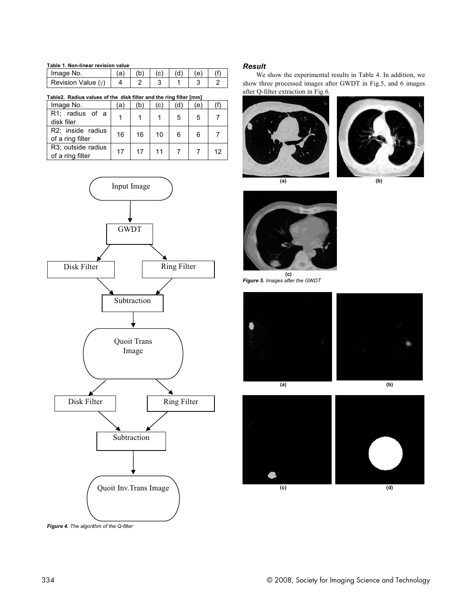#### **Table 1. Non-linear revision value**

| Image No.            |  |  | (e) |  |
|----------------------|--|--|-----|--|
| Revision Value $(y)$ |  |  |     |  |

**Table2. Radius values of the disk filter and the ring filter [mm]**

| Image No.                              | a  | b  | (C) | ď | (e) |    |
|----------------------------------------|----|----|-----|---|-----|----|
| R1; radius of a<br>disk filer          |    |    |     | 5 | 5   |    |
| R2; inside radius<br>of a ring filter  | 16 | 16 | 10  | 6 | 6   |    |
| R3; outside radius<br>of a ring filter | 17 | 17 | 11  |   |     | 12 |



*Figure 4. The algorithm of the Q-filter*

# *Result*

We show the experimental results in Table 4. In addition, we show three processed images after GWDT in Fig.5, and 6 images after Q-filter extraction in Fig.6.





**(a) (b)**



**(c)** *Figure 5. Images after the GWDT*